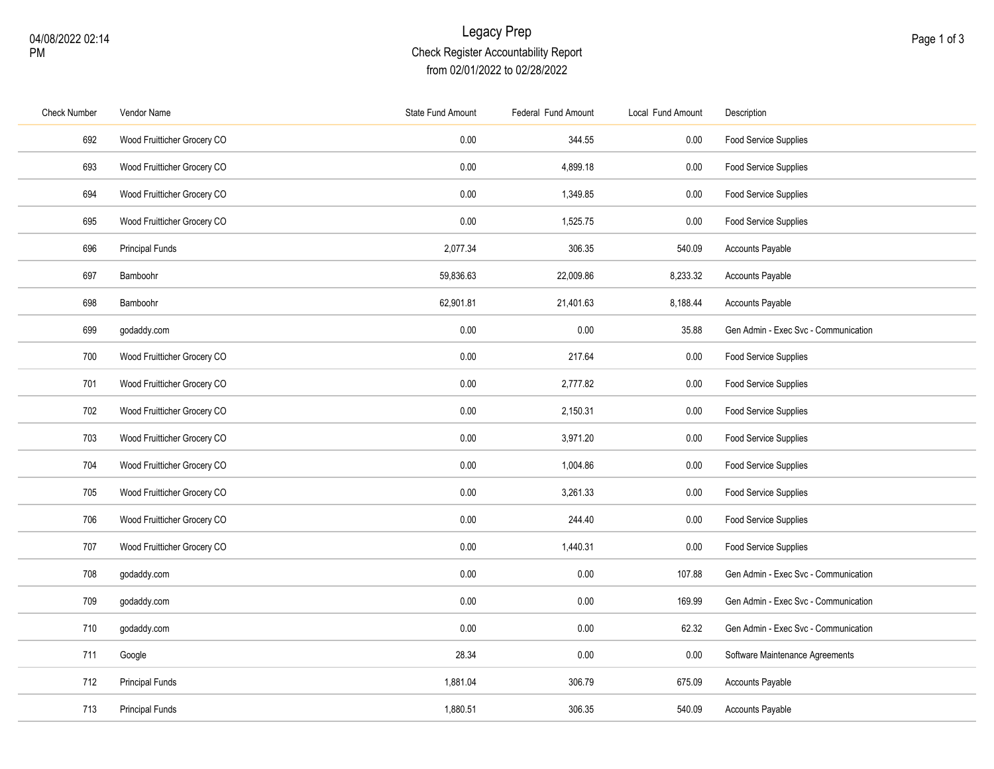## Legacy Prep Check Register Accountability Report from 02/01/2022 to 02/28/2022

| <b>Check Number</b> | Vendor Name                 | <b>State Fund Amount</b> | Federal Fund Amount | Local Fund Amount | Description                          |
|---------------------|-----------------------------|--------------------------|---------------------|-------------------|--------------------------------------|
| 692                 | Wood Fruitticher Grocery CO | 0.00                     | 344.55              | 0.00              | Food Service Supplies                |
| 693                 | Wood Fruitticher Grocery CO | 0.00                     | 4,899.18            | 0.00              | <b>Food Service Supplies</b>         |
| 694                 | Wood Fruitticher Grocery CO | 0.00                     | 1,349.85            | 0.00              | Food Service Supplies                |
| 695                 | Wood Fruitticher Grocery CO | 0.00                     | 1,525.75            | 0.00              | Food Service Supplies                |
| 696                 | <b>Principal Funds</b>      | 2,077.34                 | 306.35              | 540.09            | <b>Accounts Payable</b>              |
| 697                 | Bamboohr                    | 59,836.63                | 22,009.86           | 8,233.32          | Accounts Payable                     |
| 698                 | Bamboohr                    | 62,901.81                | 21,401.63           | 8,188.44          | <b>Accounts Payable</b>              |
| 699                 | godaddy.com                 | 0.00                     | 0.00                | 35.88             | Gen Admin - Exec Svc - Communication |
| 700                 | Wood Fruitticher Grocery CO | 0.00                     | 217.64              | 0.00              | Food Service Supplies                |
| 701                 | Wood Fruitticher Grocery CO | 0.00                     | 2,777.82            | 0.00              | Food Service Supplies                |
| 702                 | Wood Fruitticher Grocery CO | 0.00                     | 2,150.31            | 0.00              | Food Service Supplies                |
| 703                 | Wood Fruitticher Grocery CO | 0.00                     | 3,971.20            | 0.00              | Food Service Supplies                |
| 704                 | Wood Fruitticher Grocery CO | 0.00                     | 1,004.86            | 0.00              | Food Service Supplies                |
| 705                 | Wood Fruitticher Grocery CO | 0.00                     | 3,261.33            | 0.00              | Food Service Supplies                |
| 706                 | Wood Fruitticher Grocery CO | 0.00                     | 244.40              | 0.00              | Food Service Supplies                |
| 707                 | Wood Fruitticher Grocery CO | 0.00                     | 1,440.31            | 0.00              | Food Service Supplies                |
| 708                 | godaddy.com                 | 0.00                     | 0.00                | 107.88            | Gen Admin - Exec Svc - Communication |
| 709                 | godaddy.com                 | 0.00                     | 0.00                | 169.99            | Gen Admin - Exec Svc - Communication |
| 710                 | godaddy.com                 | 0.00                     | 0.00                | 62.32             | Gen Admin - Exec Svc - Communication |
| 711                 | Google                      | 28.34                    | 0.00                | 0.00              | Software Maintenance Agreements      |
| 712                 | <b>Principal Funds</b>      | 1,881.04                 | 306.79              | 675.09            | Accounts Payable                     |
| 713                 | <b>Principal Funds</b>      | 1,880.51                 | 306.35              | 540.09            | Accounts Payable                     |
|                     |                             |                          |                     |                   |                                      |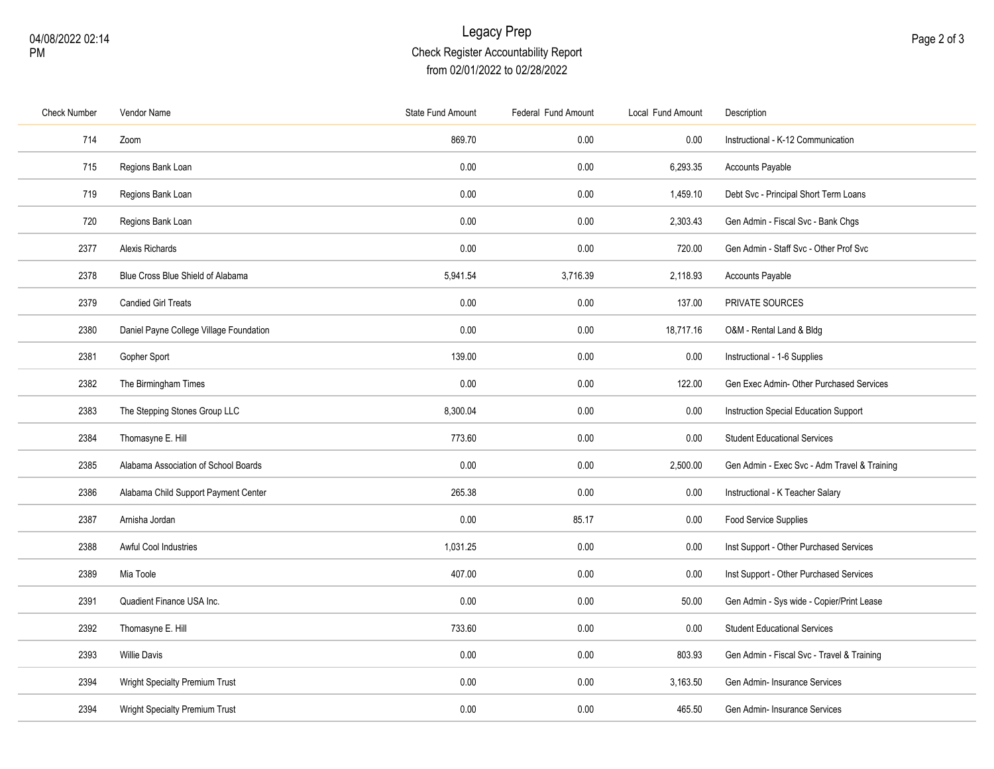## Legacy Prep Check Register Accountability Report from 02/01/2022 to 02/28/2022

| <b>Check Number</b> | Vendor Name                             | <b>State Fund Amount</b> | Federal Fund Amount | Local Fund Amount | Description                                  |
|---------------------|-----------------------------------------|--------------------------|---------------------|-------------------|----------------------------------------------|
| 714                 | Zoom                                    | 869.70                   | 0.00                | 0.00              | Instructional - K-12 Communication           |
| 715                 | Regions Bank Loan                       | 0.00                     | 0.00                | 6,293.35          | Accounts Payable                             |
| 719                 | Regions Bank Loan                       | 0.00                     | 0.00                | 1,459.10          | Debt Svc - Principal Short Term Loans        |
| 720                 | Regions Bank Loan                       | 0.00                     | 0.00                | 2,303.43          | Gen Admin - Fiscal Svc - Bank Chgs           |
| 2377                | Alexis Richards                         | 0.00                     | 0.00                | 720.00            | Gen Admin - Staff Svc - Other Prof Svc       |
| 2378                | Blue Cross Blue Shield of Alabama       | 5,941.54                 | 3,716.39            | 2,118.93          | Accounts Payable                             |
| 2379                | <b>Candied Girl Treats</b>              | 0.00                     | 0.00                | 137.00            | PRIVATE SOURCES                              |
| 2380                | Daniel Payne College Village Foundation | 0.00                     | 0.00                | 18,717.16         | O&M - Rental Land & Bldg                     |
| 2381                | Gopher Sport                            | 139.00                   | 0.00                | 0.00              | Instructional - 1-6 Supplies                 |
| 2382                | The Birmingham Times                    | 0.00                     | 0.00                | 122.00            | Gen Exec Admin- Other Purchased Services     |
| 2383                | The Stepping Stones Group LLC           | 8,300.04                 | 0.00                | 0.00              | Instruction Special Education Support        |
| 2384                | Thomasyne E. Hill                       | 773.60                   | 0.00                | 0.00              | <b>Student Educational Services</b>          |
| 2385                | Alabama Association of School Boards    | 0.00                     | 0.00                | 2,500.00          | Gen Admin - Exec Svc - Adm Travel & Training |
| 2386                | Alabama Child Support Payment Center    | 265.38                   | 0.00                | 0.00              | Instructional - K Teacher Salary             |
| 2387                | Arnisha Jordan                          | 0.00                     | 85.17               | 0.00              | Food Service Supplies                        |
| 2388                | <b>Awful Cool Industries</b>            | 1,031.25                 | 0.00                | 0.00              | Inst Support - Other Purchased Services      |
| 2389                | Mia Toole                               | 407.00                   | 0.00                | 0.00              | Inst Support - Other Purchased Services      |
| 2391                | Quadient Finance USA Inc.               | 0.00                     | 0.00                | 50.00             | Gen Admin - Sys wide - Copier/Print Lease    |
| 2392                | Thomasyne E. Hill                       | 733.60                   | 0.00                | 0.00              | <b>Student Educational Services</b>          |
| 2393                | <b>Willie Davis</b>                     | 0.00                     | 0.00                | 803.93            | Gen Admin - Fiscal Svc - Travel & Training   |
| 2394                | <b>Wright Specialty Premium Trust</b>   | 0.00                     | 0.00                | 3,163.50          | Gen Admin- Insurance Services                |
| 2394                | Wright Specialty Premium Trust          | 0.00                     | 0.00                | 465.50            | Gen Admin- Insurance Services                |
|                     |                                         |                          |                     |                   |                                              |